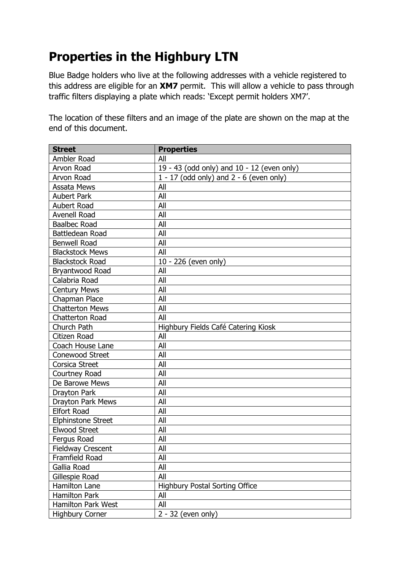## **Properties in the Highbury LTN**

Blue Badge holders who live at the following addresses with a vehicle registered to this address are eligible for an **XM7** permit. This will allow a vehicle to pass through traffic filters displaying a plate which reads: 'Except permit holders XM7'.

The location of these filters and an image of the plate are shown on the map at the end of this document.

| <b>Street</b>             | <b>Properties</b>                           |
|---------------------------|---------------------------------------------|
| Ambler Road               | All                                         |
| Arvon Road                | 19 - 43 (odd only) and 10 - 12 (even only)  |
| Arvon Road                | $1 - 17$ (odd only) and $2 - 6$ (even only) |
| <b>Assata Mews</b>        | All                                         |
| <b>Aubert Park</b>        | All                                         |
| Aubert Road               | All                                         |
| Avenell Road              | All                                         |
| <b>Baalbec Road</b>       | All                                         |
| Battledean Road           | All                                         |
| <b>Benwell Road</b>       | All                                         |
| <b>Blackstock Mews</b>    | All                                         |
| <b>Blackstock Road</b>    | $10 - 226$ (even only)                      |
| Bryantwood Road           | All                                         |
| Calabria Road             | All                                         |
| <b>Century Mews</b>       | All                                         |
| Chapman Place             | All                                         |
| <b>Chatterton Mews</b>    | All                                         |
| <b>Chatterton Road</b>    | All                                         |
| Church Path               | Highbury Fields Café Catering Kiosk         |
| Citizen Road              | All                                         |
| Coach House Lane          | All                                         |
| Conewood Street           | All                                         |
| <b>Corsica Street</b>     | All                                         |
| Courtney Road             | All                                         |
| De Barowe Mews            | All                                         |
| Drayton Park              | All                                         |
| Drayton Park Mews         | All                                         |
| <b>Elfort Road</b>        | All                                         |
| <b>Elphinstone Street</b> | All                                         |
| <b>Elwood Street</b>      | All                                         |
| Fergus Road               | All                                         |
| Fieldway Crescent         | All                                         |
| Framfield Road            | All                                         |
| Gallia Road               | All                                         |
| Gillespie Road            | All                                         |
| Hamilton Lane             | <b>Highbury Postal Sorting Office</b>       |
| <b>Hamilton Park</b>      | All                                         |
| Hamilton Park West        | All                                         |
| <b>Highbury Corner</b>    | $2 - 32$ (even only)                        |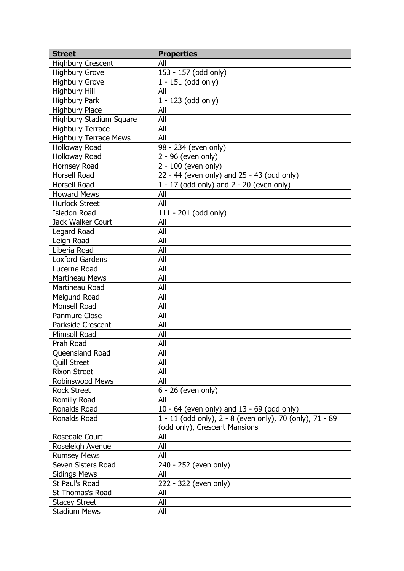| <b>Street</b>                | <b>Properties</b>                                        |
|------------------------------|----------------------------------------------------------|
| <b>Highbury Crescent</b>     | All                                                      |
| <b>Highbury Grove</b>        | 153 - 157 (odd only)                                     |
| <b>Highbury Grove</b>        | $1 - 151$ (odd only)                                     |
| <b>Highbury Hill</b>         | All                                                      |
| <b>Highbury Park</b>         | 1 - 123 (odd only)                                       |
| <b>Highbury Place</b>        | All                                                      |
| Highbury Stadium Square      | All                                                      |
| <b>Highbury Terrace</b>      | All                                                      |
| <b>Highbury Terrace Mews</b> | All                                                      |
| Holloway Road                | 98 - 234 (even only)                                     |
| Holloway Road                | $2 - 96$ (even only)                                     |
| Hornsey Road                 | 2 - 100 (even only)                                      |
| Horsell Road                 | 22 - 44 (even only) and 25 - 43 (odd only)               |
| Horsell Road                 | $1 - 17$ (odd only) and $2 - 20$ (even only)             |
| <b>Howard Mews</b>           | All                                                      |
| <b>Hurlock Street</b>        | All                                                      |
| <b>Isledon Road</b>          | $111 - 201$ (odd only)                                   |
| Jack Walker Court            | All                                                      |
| Legard Road                  | All                                                      |
| Leigh Road                   | All                                                      |
| Liberia Road                 | All                                                      |
| <b>Loxford Gardens</b>       | All                                                      |
| Lucerne Road                 | All                                                      |
| <b>Martineau Mews</b>        | All                                                      |
| Martineau Road               | All                                                      |
| Melgund Road                 | All                                                      |
| Monsell Road                 | All                                                      |
| Panmure Close                | All                                                      |
| Parkside Crescent            | All                                                      |
| <b>Plimsoll Road</b>         | All                                                      |
| Prah Road                    | All                                                      |
| Queensland Road              | All                                                      |
| <b>Quill Street</b>          | All                                                      |
| <b>Rixon Street</b>          | All                                                      |
| <b>Robinswood Mews</b>       | All                                                      |
| <b>Rock Street</b>           | 6 - 26 (even only)                                       |
| Romilly Road                 | All                                                      |
| Ronalds Road                 | 10 - 64 (even only) and 13 - 69 (odd only)               |
| Ronalds Road                 | 1 - 11 (odd only), 2 - 8 (even only), 70 (only), 71 - 89 |
|                              | (odd only), Crescent Mansions                            |
| Rosedale Court               | All                                                      |
| Roseleigh Avenue             | All                                                      |
| <b>Rumsey Mews</b>           | All                                                      |
| Seven Sisters Road           | 240 - 252 (even only)                                    |
| <b>Sidings Mews</b>          | All                                                      |
| St Paul's Road               | 222 - 322 (even only)                                    |
| St Thomas's Road             | All                                                      |
| <b>Stacey Street</b>         | All                                                      |
| <b>Stadium Mews</b>          | All                                                      |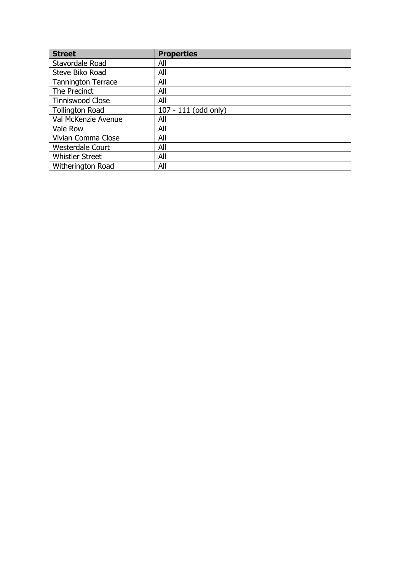| <b>Street</b>             | <b>Properties</b>    |
|---------------------------|----------------------|
| Stavordale Road           | All                  |
| Steve Biko Road           | All                  |
| <b>Tannington Terrace</b> | All                  |
| The Precinct              | All                  |
| <b>Tinniswood Close</b>   | All                  |
| <b>Tollington Road</b>    | 107 - 111 (odd only) |
| Val McKenzie Avenue       | All                  |
| Vale Row                  | All                  |
| Vivian Comma Close        | All                  |
| <b>Westerdale Court</b>   | All                  |
| <b>Whistler Street</b>    | All                  |
| Witherington Road         | All                  |